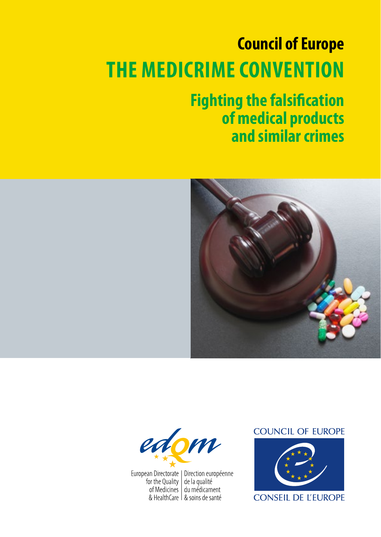# **Council of Europe THE MEDICRIME CONVENTION**

**Fighting the falsification of medical products and similar crimes**





European Directorate | Direction européenne<br>
for the Quality | de la qualité<br>
of Medicines | du médicament<br>
& HealthCare | & soins de santé

#### **COUNCIL OF EUROPE**

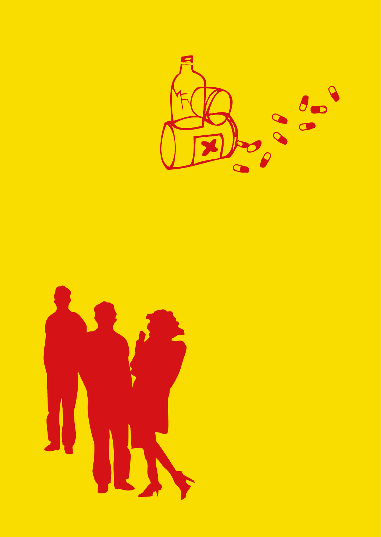

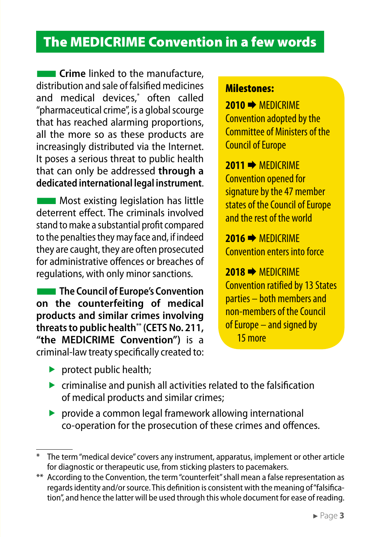### The MEDICRIME Convention in a few words

**THE** Crime linked to the manufacture, distribution and sale of falsified medicines and medical devices,\* often called "pharmaceutical crime", is a global scourge that has reached alarming proportions, all the more so as these products are increasingly distributed via the Internet. It poses a serious threat to public health that can only be addressed **through a dedicated international legal instrument**.

**THE Most existing legislation has little** deterrent effect. The criminals involved stand to make a substantial profit compared to the penalties they may face and, if indeed they are caught, they are often prosecuted for administrative offences or breaches of regulations, with only minor sanctions.

**THE COUNCIL OF EUROPE'S CONVENTION on the counterfeiting of medical products and similar crimes involving threats to public health\*\* (CETS No. 211, "the MEDICRIME Convention")** is a criminal-law treaty specifically created to:

#### Milestones:

2010 MEDICRIME Convention adopted by the Committee of Ministers of the Council of Europe

**2011 → MEDICRIME** Convention opened for signature by the 47 member states of the Council of Europe and the rest of the world

**2016** MEDICRIME Convention enters into force

**2018 → MEDICRIME** Convention ratified by 13 States parties – both members and non-members of the Council of Europe – and signed by 15 more

- $\blacktriangleright$  protect public health;
- $\blacktriangleright$  criminalise and punish all activities related to the falsification of medical products and similar crimes;
- $\blacktriangleright$  provide a common legal framework allowing international co-operation for the prosecution of these crimes and offences.

<sup>\*</sup> The term "medical device" covers any instrument, apparatus, implement or other article for diagnostic or therapeutic use, from sticking plasters to pacemakers.

<sup>\*\*</sup> According to the Convention, the term "counterfeit" shall mean a false representation as regards identity and/or source. This definition is consistent with the meaning of "falsification", and hence the latter will be used through this whole document for ease of reading.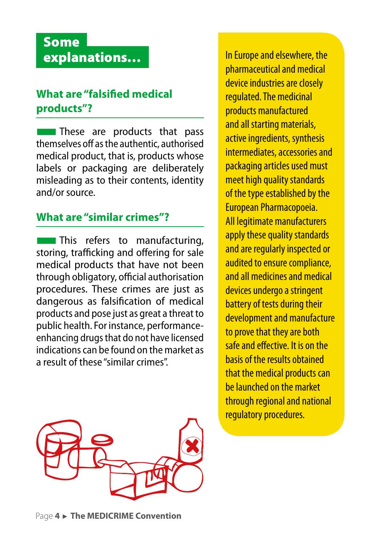### Some explanations…

### **What are "falsified medical products"?**

**THESE** These are products that pass themselves off as the authentic, authorised medical product, that is, products whose labels or packaging are deliberately misleading as to their contents, identity and/or source.

#### **What are "similar crimes"?**

**THE This refers to manufacturing.** storing, trafficking and offering for sale medical products that have not been through obligatory, official authorisation procedures. These crimes are just as dangerous as falsification of medical products and pose just as great a threat to public health. For instance, performanceenhancing drugs that do not have licensed indications can be found on the market as a result of these "similar crimes".



In Europe and elsewhere, the pharmaceutical and medical device industries are closely regulated. The medicinal products manufactured and all starting materials, active ingredients, synthesis intermediates, accessories and packaging articles used must meet high quality standards of the type established by the European Pharmacopoeia. All legitimate manufacturers apply these quality standards and are regularly inspected or audited to ensure compliance, and all medicines and medical devices undergo a stringent battery of tests during their development and manufacture to prove that they are both safe and effective. It is on the basis of the results obtained that the medical products can be launched on the market through regional and national regulatory procedures.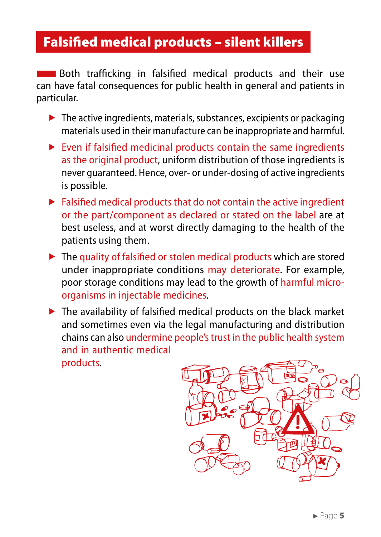# Falsified medical products – silent killers

■Both trafficking in falsified medical products and their use can have fatal consequences for public health in general and patients in particular.

- $\blacktriangleright$  The active ingredients, materials, substances, excipients or packaging materials used in their manufacture can be inappropriate and harmful.
- $\blacktriangleright$  Even if falsified medicinal products contain the same ingredients as the original product, uniform distribution of those ingredients is never guaranteed. Hence, over- or under-dosing of active ingredients is possible.
- $\blacktriangleright$  Falsified medical products that do not contain the active ingredient or the part/component as declared or stated on the label are at best useless, and at worst directly damaging to the health of the patients using them.
- $\blacktriangleright$  The quality of falsified or stolen medical products which are stored under inappropriate conditions may deteriorate. For example, poor storage conditions may lead to the growth of harmful microorganisms in injectable medicines.
- $\blacktriangleright$  The availability of falsified medical products on the black market and sometimes even via the legal manufacturing and distribution chains can also undermine people's trust in the public health system and in authentic medical products.

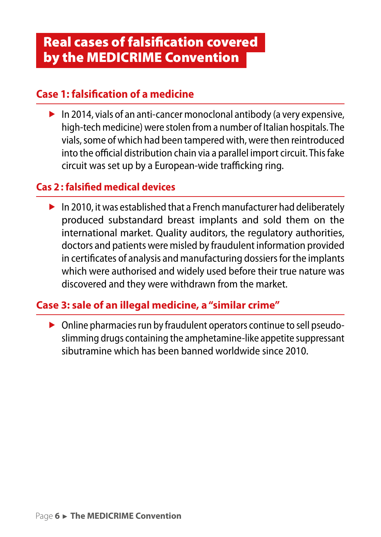# Real cases of falsification covered by the MEDICRIME Convention

### **Case 1: falsification of a medicine**

 $\blacktriangleright$  In 2014, vials of an anti-cancer monoclonal antibody (a very expensive, high-tech medicine) were stolen from a number of Italian hospitals. The vials, some of which had been tampered with, were then reintroduced into the official distribution chain via a parallel import circuit. This fake circuit was set up by a European-wide trafficking ring.

#### **Cas 2: falsified medical devices**

 $\blacktriangleright$  In 2010, it was established that a French manufacturer had deliberately produced substandard breast implants and sold them on the international market. Quality auditors, the regulatory authorities, doctors and patients were misled by fraudulent information provided in certificates of analysis and manufacturing dossiers for the implants which were authorised and widely used before their true nature was discovered and they were withdrawn from the market.

#### **Case 3: sale of an illegal medicine, a "similar crime"**

 $\triangleright$  Online pharmacies run by fraudulent operators continue to sell pseudoslimming drugs containing the amphetamine-like appetite suppressant sibutramine which has been banned worldwide since 2010.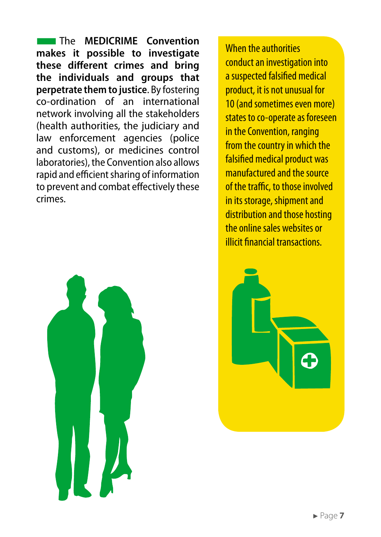**EXECUTE:** The **MEDICRIME** Convention **makes it possible to investigate these different crimes and bring the individuals and groups that perpetrate them to justice**. By fostering co-ordination of an international network involving all the stakeholders (health authorities, the judiciary and law enforcement agencies (police and customs), or medicines control laboratories), the Convention also allows rapid and efficient sharing of information to prevent and combat effectively these crimes.



When the authorities conduct an investigation into a suspected falsified medical product, it is not unusual for 10 (and sometimes even more) states to co-operate as foreseen in the Convention, ranging from the country in which the falsified medical product was manufactured and the source of the traffic, to those involved in its storage, shipment and distribution and those hosting the online sales websites or illicit financial transactions.

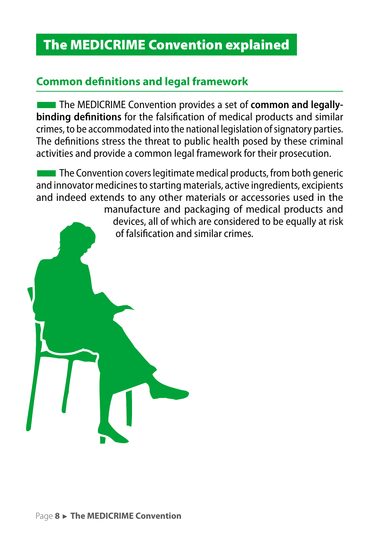# The MEDICRIME Convention explained

### **Common definitions and legal framework**

**THE MEDICRIME Convention provides a set of common and legallybinding definitions** for the falsification of medical products and similar crimes, to be accommodated into the national legislation of signatory parties. The definitions stress the threat to public health posed by these criminal activities and provide a common legal framework for their prosecution.

**The Convention covers legitimate medical products, from both generic** and innovator medicines to starting materials, active ingredients, excipients and indeed extends to any other materials or accessories used in the manufacture and packaging of medical products and devices, all of which are considered to be equally at risk of falsification and similar crimes.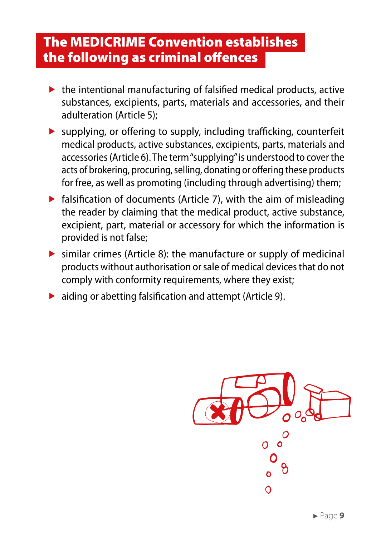### The MEDICRIME Convention establishes the following as criminal offences

- $\blacktriangleright$  the intentional manufacturing of falsified medical products, active substances, excipients, parts, materials and accessories, and their adulteration (Article 5);
- $\blacktriangleright$  supplying, or offering to supply, including trafficking, counterfeit medical products, active substances, excipients, parts, materials and accessories (Article 6). The term "supplying" is understood to cover the acts of brokering, procuring, selling, donating or offering these products for free, as well as promoting (including through advertising) them;
- $\blacktriangleright$  falsification of documents (Article 7), with the aim of misleading the reader by claiming that the medical product, active substance, excipient, part, material or accessory for which the information is provided is not false;
- $\triangleright$  similar crimes (Article 8): the manufacture or supply of medicinal products without authorisation or sale of medical devices that do not comply with conformity requirements, where they exist;
- $\blacktriangleright$  aiding or abetting falsification and attempt (Article 9).

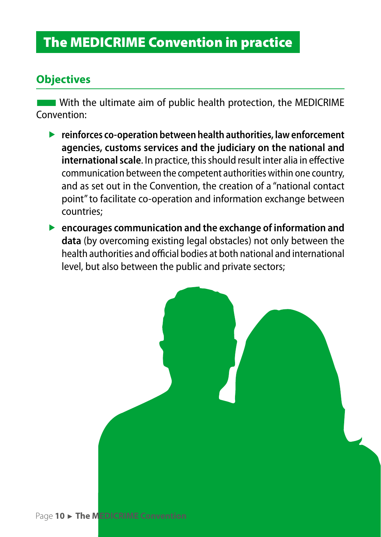## The MEDICRIME Convention in practice

### **Objectives**

**With the ultimate aim of public health protection, the MEDICRIME** Convention:

- **F** reinforces co-operation between health authorities, law enforcement **agencies, customs services and the judiciary on the national and international scale**. In practice, this should result inter alia in effective communication between the competent authorities within one country, and as set out in the Convention, the creation of a "national contact point" to facilitate co-operation and information exchange between countries;
- **EXECUTE ENGINEER** encourages communication and the exchange of information and **data** (by overcoming existing legal obstacles) not only between the health authorities and official bodies at both national and international level, but also between the public and private sectors;

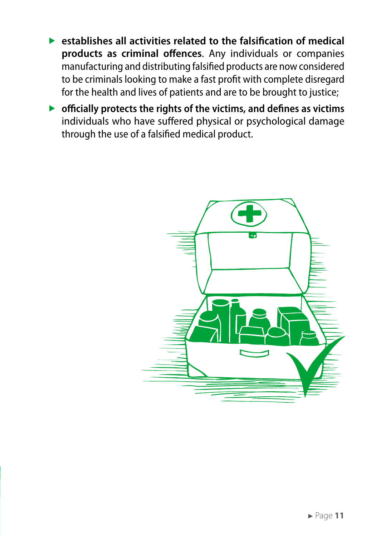- **F** establishes all activities related to the falsification of medical **products as criminal offences**. Any individuals or companies manufacturing and distributing falsified products are now considered to be criminals looking to make a fast profit with complete disregard for the health and lives of patients and are to be brought to justice;
- **•** officially protects the rights of the victims, and defines as victims individuals who have suffered physical or psychological damage through the use of a falsified medical product.

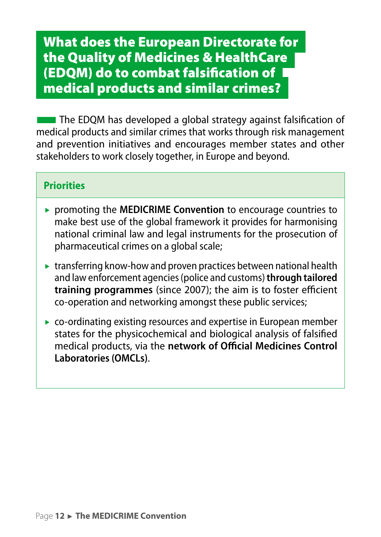### What does the European Directorate for the Quality of Medicines & HealthCare (EDQM) do to combat falsification of medical products and similar crimes?

■The EDQM has developed a global strategy against falsification of medical products and similar crimes that works through risk management and prevention initiatives and encourages member states and other stakeholders to work closely together, in Europe and beyond.

#### **Priorities**

- promoting the **MEDICRIME Convention** to encourage countries to make best use of the global framework it provides for harmonising national criminal law and legal instruments for the prosecution of pharmaceutical crimes on a global scale;
- $\triangleright$  transferring know-how and proven practices between national health and law enforcement agencies (police and customs) **through tailored training programmes** (since 2007); the aim is to foster efficient co-operation and networking amongst these public services;
- co-ordinating existing resources and expertise in European member states for the physicochemical and biological analysis of falsified medical products, via the **network of Official Medicines Control Laboratories (OMCLs)**.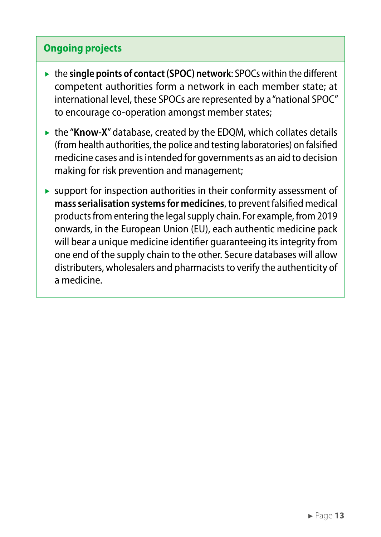#### **Ongoing projects**

- the **single points of contact (SPOC) network**: SPOCs within the different competent authorities form a network in each member state; at international level, these SPOCs are represented by a "national SPOC" to encourage co-operation amongst member states;
- the "**Know-X**" database, created by the EDQM, which collates details (from health authorities, the police and testing laboratories) on falsified medicine cases and is intended for governments as an aid to decision making for risk prevention and management;
- support for inspection authorities in their conformity assessment of **mass serialisation systems for medicines**, to prevent falsified medical products from entering the legal supply chain. For example, from 2019 onwards, in the European Union (EU), each authentic medicine pack will bear a unique medicine identifier guaranteeing its integrity from one end of the supply chain to the other. Secure databases will allow distributers, wholesalers and pharmacists to verify the authenticity of a medicine.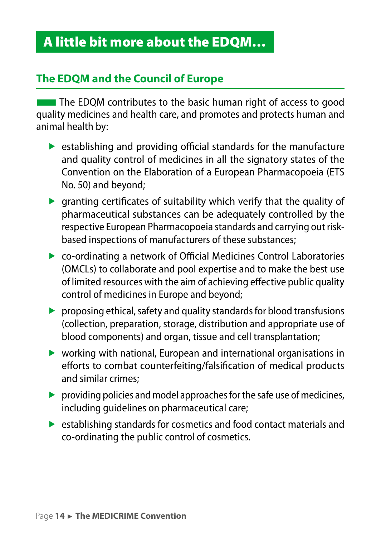# A little bit more about the EDQM…

### **The EDQM and the Council of Europe**

**THE THE EDQM contributes to the basic human right of access to good** quality medicines and health care, and promotes and protects human and animal health by:

- $\blacktriangleright$  establishing and providing official standards for the manufacture and quality control of medicines in all the signatory states of the Convention on the Elaboration of a European Pharmacopoeia (ETS No. 50) and beyond;
- $\blacktriangleright$  granting certificates of suitability which verify that the quality of pharmaceutical substances can be adequately controlled by the respective European Pharmacopoeia standards and carrying out riskbased inspections of manufacturers of these substances;
- $\triangleright$  co-ordinating a network of Official Medicines Control Laboratories (OMCLs) to collaborate and pool expertise and to make the best use of limited resources with the aim of achieving effective public quality control of medicines in Europe and beyond;
- $\blacktriangleright$  proposing ethical, safety and quality standards for blood transfusions (collection, preparation, storage, distribution and appropriate use of blood components) and organ, tissue and cell transplantation;
- $\blacktriangleright$  working with national, European and international organisations in efforts to combat counterfeiting/falsification of medical products and similar crimes;
- $\blacktriangleright$  providing policies and model approaches for the safe use of medicines, including guidelines on pharmaceutical care;
- $\blacktriangleright$  establishing standards for cosmetics and food contact materials and co-ordinating the public control of cosmetics.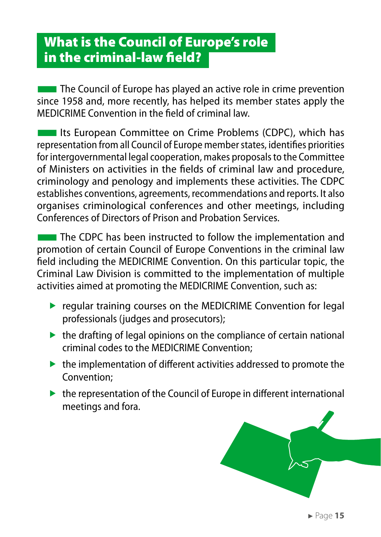# What is the Council of Europe's role in the criminal-law field?

**The Council of Europe has played an active role in crime prevention** since 1958 and, more recently, has helped its member states apply the MEDICRIME Convention in the field of criminal law.

**EXECUTE: Its European Committee on Crime Problems (CDPC), which has** representation from all Council of Europe member states, identifies priorities for intergovernmental legal cooperation, makes proposals to the Committee of Ministers on activities in the fields of criminal law and procedure, criminology and penology and implements these activities. The CDPC establishes conventions, agreements, recommendations and reports. It also organises criminological conferences and other meetings, including Conferences of Directors of Prison and Probation Services.

**The CDPC has been instructed to follow the implementation and** promotion of certain Council of Europe Conventions in the criminal law field including the MEDICRIME Convention. On this particular topic, the Criminal Law Division is committed to the implementation of multiple activities aimed at promoting the MEDICRIME Convention, such as:

- $\blacktriangleright$  regular training courses on the MEDICRIME Convention for legal professionals (judges and prosecutors);
- $\blacktriangleright$  the drafting of legal opinions on the compliance of certain national criminal codes to the MEDICRIME Convention;
- $\blacktriangleright$  the implementation of different activities addressed to promote the Convention;
- $\blacktriangleright$  the representation of the Council of Europe in different international meetings and fora.